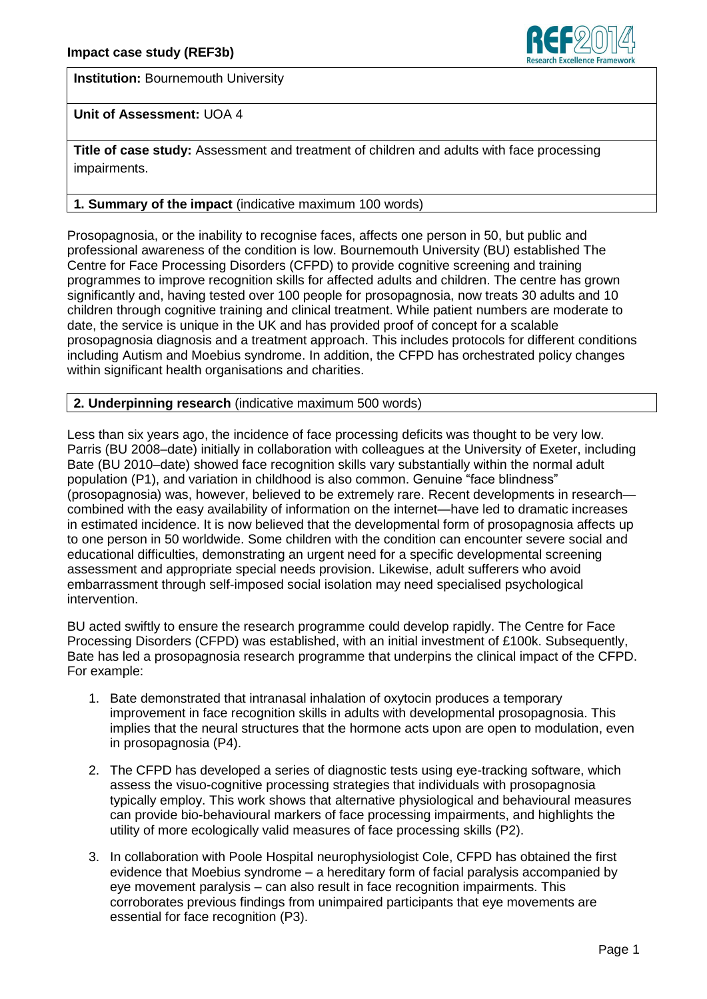**Institution:** Bournemouth University



# **Unit of Assessment:** UOA 4

**Title of case study:** Assessment and treatment of children and adults with face processing impairments.

# **1. Summary of the impact** (indicative maximum 100 words)

Prosopagnosia, or the inability to recognise faces, affects one person in 50, but public and professional awareness of the condition is low. Bournemouth University (BU) established The Centre for Face Processing Disorders (CFPD) to provide cognitive screening and training programmes to improve recognition skills for affected adults and children. The centre has grown significantly and, having tested over 100 people for prosopagnosia, now treats 30 adults and 10 children through cognitive training and clinical treatment. While patient numbers are moderate to date, the service is unique in the UK and has provided proof of concept for a scalable prosopagnosia diagnosis and a treatment approach. This includes protocols for different conditions including Autism and Moebius syndrome. In addition, the CFPD has orchestrated policy changes within significant health organisations and charities.

# **2. Underpinning research** (indicative maximum 500 words)

Less than six years ago, the incidence of face processing deficits was thought to be very low. Parris (BU 2008–date) initially in collaboration with colleagues at the University of Exeter, including Bate (BU 2010–date) showed face recognition skills vary substantially within the normal adult population (P1), and variation in childhood is also common. Genuine "face blindness" (prosopagnosia) was, however, believed to be extremely rare. Recent developments in research combined with the easy availability of information on the internet—have led to dramatic increases in estimated incidence. It is now believed that the developmental form of prosopagnosia affects up to one person in 50 worldwide. Some children with the condition can encounter severe social and educational difficulties, demonstrating an urgent need for a specific developmental screening assessment and appropriate special needs provision. Likewise, adult sufferers who avoid embarrassment through self-imposed social isolation may need specialised psychological intervention.

BU acted swiftly to ensure the research programme could develop rapidly. The Centre for Face Processing Disorders (CFPD) was established, with an initial investment of £100k. Subsequently, Bate has led a prosopagnosia research programme that underpins the clinical impact of the CFPD. For example:

- 1. Bate demonstrated that intranasal inhalation of oxytocin produces a temporary improvement in face recognition skills in adults with developmental prosopagnosia. This implies that the neural structures that the hormone acts upon are open to modulation, even in prosopagnosia (P4).
- 2. The CFPD has developed a series of diagnostic tests using eye-tracking software, which assess the visuo-cognitive processing strategies that individuals with prosopagnosia typically employ. This work shows that alternative physiological and behavioural measures can provide bio-behavioural markers of face processing impairments, and highlights the utility of more ecologically valid measures of face processing skills (P2).
- 3. In collaboration with Poole Hospital neurophysiologist Cole, CFPD has obtained the first evidence that Moebius syndrome – a hereditary form of facial paralysis accompanied by eye movement paralysis – can also result in face recognition impairments. This corroborates previous findings from unimpaired participants that eye movements are essential for face recognition (P3).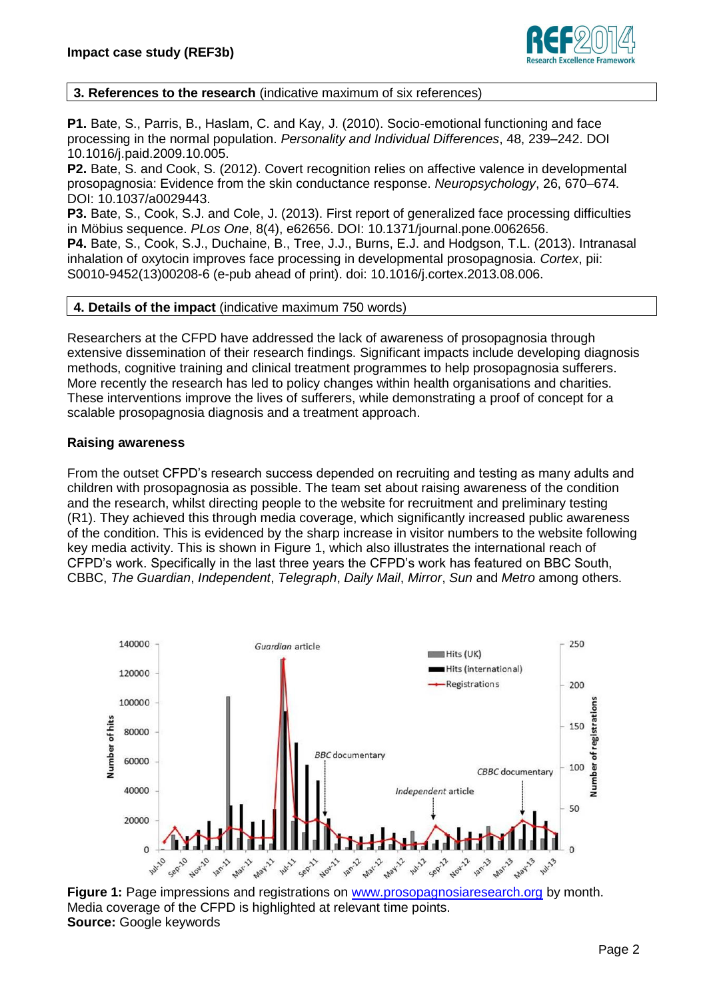

# **3. References to the research** (indicative maximum of six references)

**P1.** Bate, S., Parris, B., Haslam, C. and Kay, J. (2010). Socio-emotional functioning and face processing in the normal population. *Personality and Individual Differences*, 48, 239–242. DOI 10.1016/j.paid.2009.10.005.

**P2.** Bate, S. and Cook, S. (2012). Covert recognition relies on affective valence in developmental prosopagnosia: Evidence from the skin conductance response. *Neuropsychology*, 26, 670–674. DOI: 10.1037/a0029443.

**P3.** Bate, S., Cook, S.J. and Cole, J. (2013). First report of generalized face processing difficulties in Möbius sequence. *PLos One*, 8(4), e62656. DOI: 10.1371/journal.pone.0062656.

**P4.** Bate, S., Cook, S.J., Duchaine, B., Tree, J.J., Burns, E.J. and Hodgson, T.L. (2013). Intranasal inhalation of oxytocin improves face processing in developmental prosopagnosia. *Cortex*, pii: S0010-9452(13)00208-6 (e-pub ahead of print). doi: 10.1016/j.cortex.2013.08.006.

**4. Details of the impact** (indicative maximum 750 words)

Researchers at the CFPD have addressed the lack of awareness of prosopagnosia through extensive dissemination of their research findings. Significant impacts include developing diagnosis methods, cognitive training and clinical treatment programmes to help prosopagnosia sufferers. More recently the research has led to policy changes within health organisations and charities. These interventions improve the lives of sufferers, while demonstrating a proof of concept for a scalable prosopagnosia diagnosis and a treatment approach.

## **Raising awareness**

From the outset CFPD's research success depended on recruiting and testing as many adults and children with prosopagnosia as possible. The team set about raising awareness of the condition and the research, whilst directing people to the website for recruitment and preliminary testing (R1). They achieved this through media coverage, which significantly increased public awareness of the condition. This is evidenced by the sharp increase in visitor numbers to the website following key media activity. This is shown in Figure 1, which also illustrates the international reach of CFPD's work. Specifically in the last three years the CFPD's work has featured on BBC South, CBBC, *The Guardian*, *Independent*, *Telegraph*, *Daily Mail*, *Mirror*, *Sun* and *Metro* among others.



**Figure 1:** Page impressions and registrations on www.prosopagnosiaresearch.org by month. Media coverage of the CFPD is highlighted at relevant time points. **Source:** Google keywords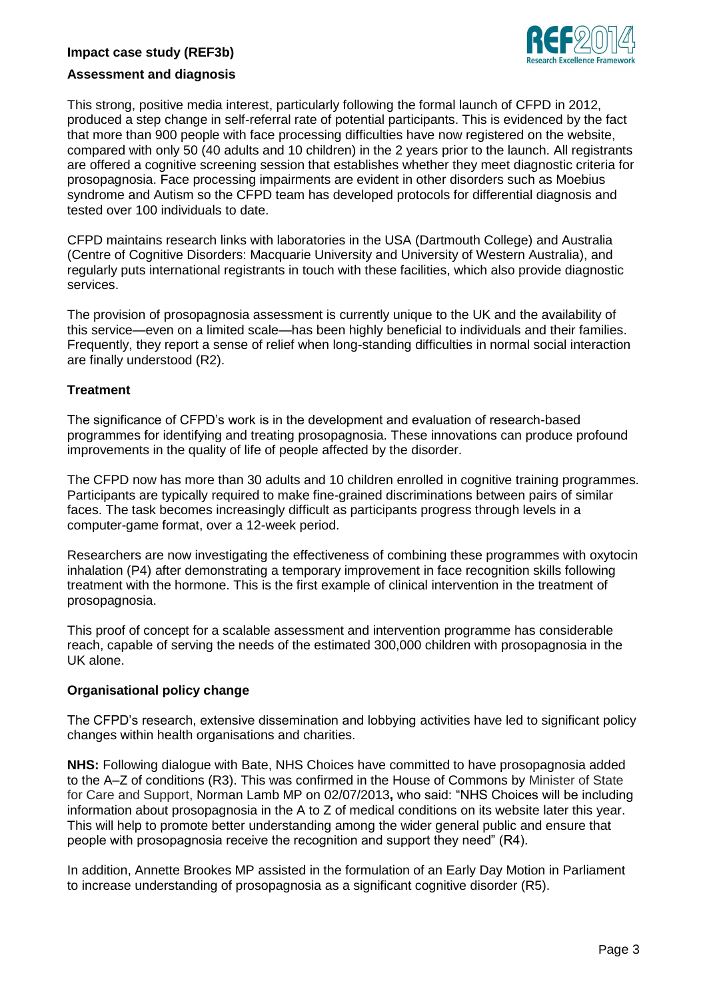# **Impact case study (REF3b)**



## **Assessment and diagnosis**

This strong, positive media interest, particularly following the formal launch of CFPD in 2012, produced a step change in self-referral rate of potential participants. This is evidenced by the fact that more than 900 people with face processing difficulties have now registered on the website, compared with only 50 (40 adults and 10 children) in the 2 years prior to the launch. All registrants are offered a cognitive screening session that establishes whether they meet diagnostic criteria for prosopagnosia. Face processing impairments are evident in other disorders such as Moebius syndrome and Autism so the CFPD team has developed protocols for differential diagnosis and tested over 100 individuals to date.

CFPD maintains research links with laboratories in the USA (Dartmouth College) and Australia (Centre of Cognitive Disorders: Macquarie University and University of Western Australia), and regularly puts international registrants in touch with these facilities, which also provide diagnostic services.

The provision of prosopagnosia assessment is currently unique to the UK and the availability of this service—even on a limited scale—has been highly beneficial to individuals and their families. Frequently, they report a sense of relief when long-standing difficulties in normal social interaction are finally understood (R2).

## **Treatment**

The significance of CFPD's work is in the development and evaluation of research-based programmes for identifying and treating prosopagnosia. These innovations can produce profound improvements in the quality of life of people affected by the disorder.

The CFPD now has more than 30 adults and 10 children enrolled in cognitive training programmes. Participants are typically required to make fine-grained discriminations between pairs of similar faces. The task becomes increasingly difficult as participants progress through levels in a computer-game format, over a 12-week period.

Researchers are now investigating the effectiveness of combining these programmes with oxytocin inhalation (P4) after demonstrating a temporary improvement in face recognition skills following treatment with the hormone. This is the first example of clinical intervention in the treatment of prosopagnosia.

This proof of concept for a scalable assessment and intervention programme has considerable reach, capable of serving the needs of the estimated 300,000 children with prosopagnosia in the UK alone.

#### **Organisational policy change**

The CFPD's research, extensive dissemination and lobbying activities have led to significant policy changes within health organisations and charities.

**NHS:** Following dialogue with Bate, NHS Choices have committed to have prosopagnosia added to the A–Z of conditions (R3). This was confirmed in the House of Commons by Minister of State for Care and Support, Norman Lamb MP on 02/07/2013**,** who said: "NHS Choices will be including information about prosopagnosia in the A to Z of medical conditions on its website later this year. This will help to promote better understanding among the wider general public and ensure that people with prosopagnosia receive the recognition and support they need" (R4).

In addition, Annette Brookes MP assisted in the formulation of an Early Day Motion in Parliament to increase understanding of prosopagnosia as a significant cognitive disorder (R5).